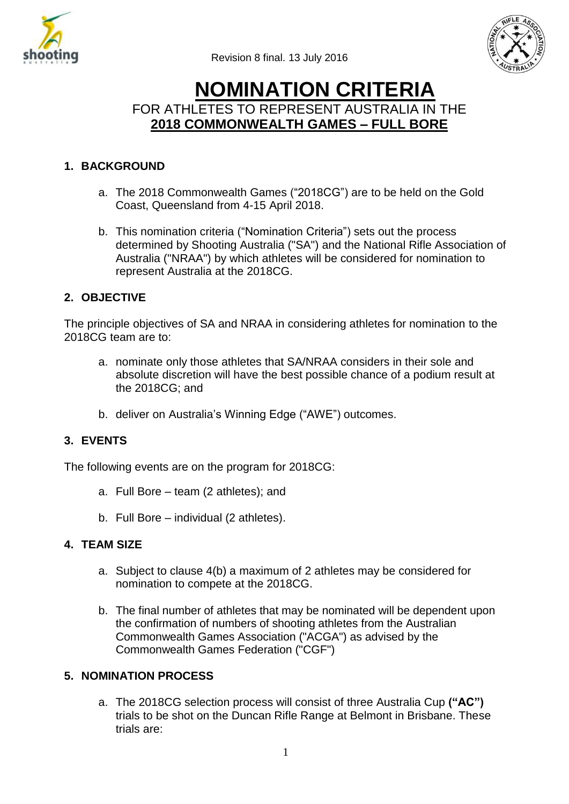



## **NOMINATION CRITERIA** FOR ATHLETES TO REPRESENT AUSTRALIA IN THE **2018 COMMONWEALTH GAMES – FULL BORE**

## **1. BACKGROUND**

- a. The 2018 Commonwealth Games ("2018CG") are to be held on the Gold Coast, Queensland from 4-15 April 2018.
- b. This nomination criteria ("Nomination Criteria") sets out the process determined by Shooting Australia ("SA") and the National Rifle Association of Australia ("NRAA") by which athletes will be considered for nomination to represent Australia at the 2018CG.

## **2. OBJECTIVE**

The principle objectives of SA and NRAA in considering athletes for nomination to the 2018CG team are to:

- a. nominate only those athletes that SA/NRAA considers in their sole and absolute discretion will have the best possible chance of a podium result at the 2018CG; and
- b. deliver on Australia's Winning Edge ("AWE") outcomes.

## **3. EVENTS**

The following events are on the program for 2018CG:

- a. Full Bore team (2 athletes); and
- b. Full Bore individual (2 athletes).

## **4. TEAM SIZE**

- a. Subject to clause 4(b) a maximum of 2 athletes may be considered for nomination to compete at the 2018CG.
- b. The final number of athletes that may be nominated will be dependent upon the confirmation of numbers of shooting athletes from the Australian Commonwealth Games Association ("ACGA") as advised by the Commonwealth Games Federation ("CGF")

## **5. NOMINATION PROCESS**

a. The 2018CG selection process will consist of three Australia Cup **("AC")** trials to be shot on the Duncan Rifle Range at Belmont in Brisbane. These trials are: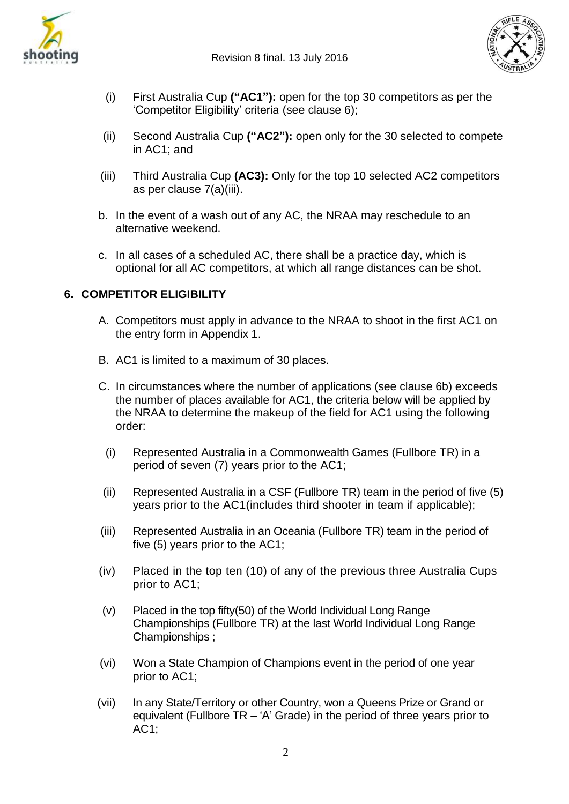



- (i) First Australia Cup **("AC1"):** open for the top 30 competitors as per the 'Competitor Eligibility' criteria (see clause 6);
- (ii) Second Australia Cup **("AC2"):** open only for the 30 selected to compete in AC1; and
- (iii) Third Australia Cup **(AC3):** Only for the top 10 selected AC2 competitors as per clause 7(a)(iii).
- b. In the event of a wash out of any AC, the NRAA may reschedule to an alternative weekend.
- c. In all cases of a scheduled AC, there shall be a practice day, which is optional for all AC competitors, at which all range distances can be shot.

## **6. COMPETITOR ELIGIBILITY**

- A. Competitors must apply in advance to the NRAA to shoot in the first AC1 on the entry form in Appendix 1.
- B. AC1 is limited to a maximum of 30 places.
- C. In circumstances where the number of applications (see clause 6b) exceeds the number of places available for AC1, the criteria below will be applied by the NRAA to determine the makeup of the field for AC1 using the following order:
	- (i) Represented Australia in a Commonwealth Games (Fullbore TR) in a period of seven (7) years prior to the AC1;
- (ii) Represented Australia in a CSF (Fullbore TR) team in the period of five (5) years prior to the AC1(includes third shooter in team if applicable);
- (iii) Represented Australia in an Oceania (Fullbore TR) team in the period of five (5) years prior to the AC1;
- (iv) Placed in the top ten (10) of any of the previous three Australia Cups prior to AC1;
- (v) Placed in the top fifty(50) of the World Individual Long Range Championships (Fullbore TR) at the last World Individual Long Range Championships ;
- (vi) Won a State Champion of Champions event in the period of one year prior to AC1;
- (vii) In any State/Territory or other Country, won a Queens Prize or Grand or equivalent (Fullbore TR – 'A' Grade) in the period of three years prior to AC1;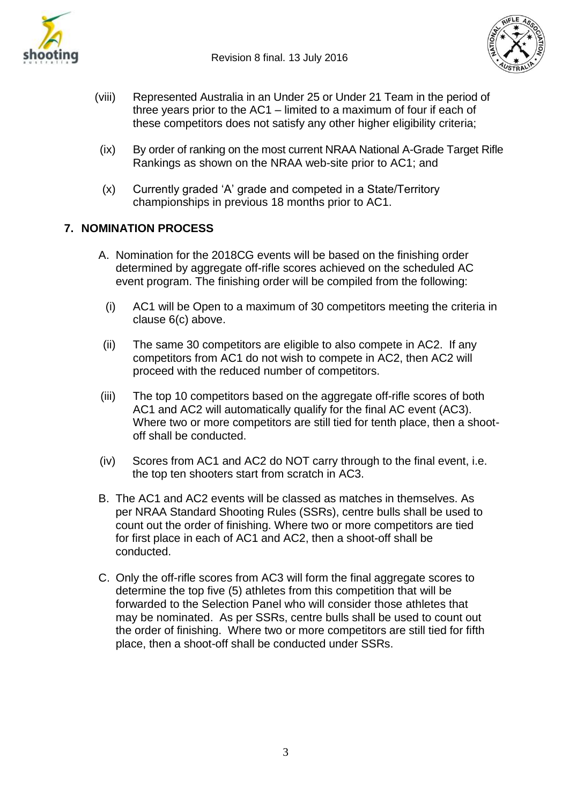



- (viii) Represented Australia in an Under 25 or Under 21 Team in the period of three years prior to the AC1 – limited to a maximum of four if each of these competitors does not satisfy any other higher eligibility criteria;
- (ix) By order of ranking on the most current NRAA National A-Grade Target Rifle Rankings as shown on the NRAA web-site prior to AC1; and
- (x) Currently graded 'A' grade and competed in a State/Territory championships in previous 18 months prior to AC1.

## **7. NOMINATION PROCESS**

- A. Nomination for the 2018CG events will be based on the finishing order determined by aggregate off-rifle scores achieved on the scheduled AC event program. The finishing order will be compiled from the following:
	- (i) AC1 will be Open to a maximum of 30 competitors meeting the criteria in clause 6(c) above.
- (ii) The same 30 competitors are eligible to also compete in AC2. If any competitors from AC1 do not wish to compete in AC2, then AC2 will proceed with the reduced number of competitors.
- (iii) The top 10 competitors based on the aggregate off-rifle scores of both AC1 and AC2 will automatically qualify for the final AC event (AC3). Where two or more competitors are still tied for tenth place, then a shootoff shall be conducted.
- (iv) Scores from AC1 and AC2 do NOT carry through to the final event, i.e. the top ten shooters start from scratch in AC3.
- B. The AC1 and AC2 events will be classed as matches in themselves. As per NRAA Standard Shooting Rules (SSRs), centre bulls shall be used to count out the order of finishing. Where two or more competitors are tied for first place in each of AC1 and AC2, then a shoot-off shall be conducted.
- C. Only the off-rifle scores from AC3 will form the final aggregate scores to determine the top five (5) athletes from this competition that will be forwarded to the Selection Panel who will consider those athletes that may be nominated. As per SSRs, centre bulls shall be used to count out the order of finishing. Where two or more competitors are still tied for fifth place, then a shoot-off shall be conducted under SSRs.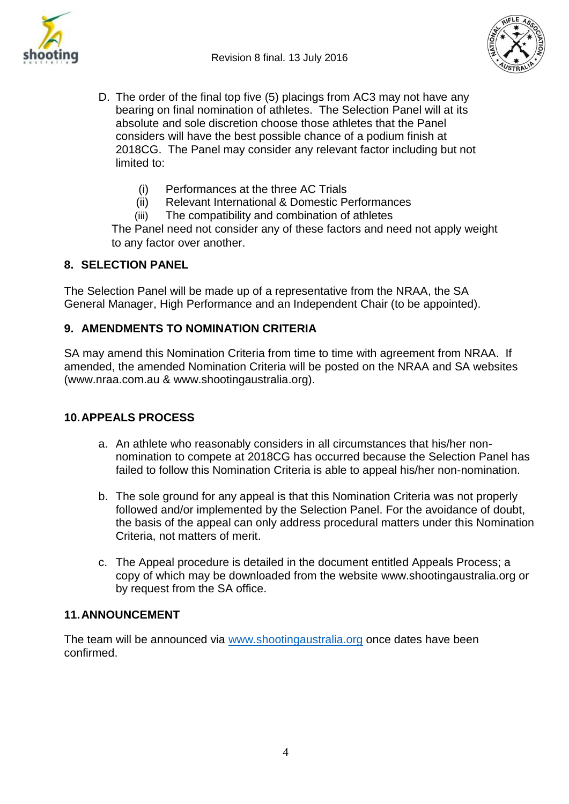



- D. The order of the final top five (5) placings from AC3 may not have any bearing on final nomination of athletes. The Selection Panel will at its absolute and sole discretion choose those athletes that the Panel considers will have the best possible chance of a podium finish at 2018CG. The Panel may consider any relevant factor including but not limited to:
	- (i) Performances at the three AC Trials
	- (ii) Relevant International & Domestic Performances
	- (iii) The compatibility and combination of athletes

The Panel need not consider any of these factors and need not apply weight to any factor over another.

## **8. SELECTION PANEL**

The Selection Panel will be made up of a representative from the NRAA, the SA General Manager, High Performance and an Independent Chair (to be appointed).

## **9. AMENDMENTS TO NOMINATION CRITERIA**

SA may amend this Nomination Criteria from time to time with agreement from NRAA. If amended, the amended Nomination Criteria will be posted on the NRAA and SA websites (www.nraa.com.au & www.shootingaustralia.org).

#### **10.APPEALS PROCESS**

- a. An athlete who reasonably considers in all circumstances that his/her nonnomination to compete at 2018CG has occurred because the Selection Panel has failed to follow this Nomination Criteria is able to appeal his/her non-nomination.
- b. The sole ground for any appeal is that this Nomination Criteria was not properly followed and/or implemented by the Selection Panel. For the avoidance of doubt, the basis of the appeal can only address procedural matters under this Nomination Criteria, not matters of merit.
- c. The Appeal procedure is detailed in the document entitled Appeals Process; a copy of which may be downloaded from the website [www.shootingaustralia.org](http://www.shootingaustralia.org/) or by request from the SA office.

#### **11.ANNOUNCEMENT**

The team will be announced via [www.shootingaustralia.org](http://www.shootingaustralia.org/) once dates have been confirmed.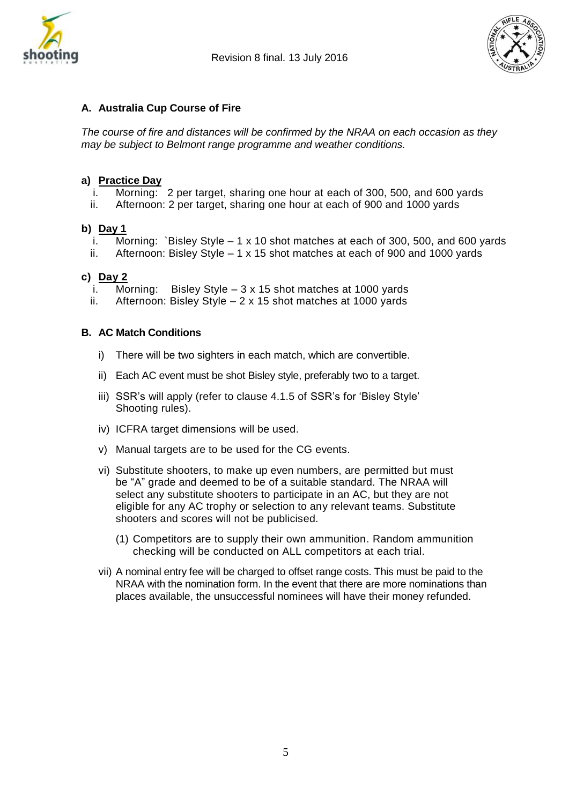



#### **A. Australia Cup Course of Fire**

*The course of fire and distances will be confirmed by the NRAA on each occasion as they may be subject to Belmont range programme and weather conditions.*

#### **a) Practice Day**

- i. Morning: 2 per target, sharing one hour at each of 300, 500, and 600 yards
- ii. Afternoon: 2 per target, sharing one hour at each of 900 and 1000 yards

#### **b) Day 1**

- i. Morning: `Bisley Style 1 x 10 shot matches at each of 300, 500, and 600 yards
- ii. Afternoon: Bisley Style  $-1 \times 15$  shot matches at each of 900 and 1000 yards

#### **c) Day 2**

- i. Morning: Bisley Style 3 x 15 shot matches at 1000 yards
- ii. Afternoon: Bisley Style 2 x 15 shot matches at 1000 yards

#### **B. AC Match Conditions**

- i) There will be two sighters in each match, which are convertible.
- ii) Each AC event must be shot Bisley style, preferably two to a target.
- iii) SSR's will apply (refer to clause 4.1.5 of SSR's for 'Bisley Style' Shooting rules).
- iv) ICFRA target dimensions will be used.
- v) Manual targets are to be used for the CG events.
- vi) Substitute shooters, to make up even numbers, are permitted but must be "A" grade and deemed to be of a suitable standard. The NRAA will select any substitute shooters to participate in an AC, but they are not eligible for any AC trophy or selection to any relevant teams. Substitute shooters and scores will not be publicised.
	- (1) Competitors are to supply their own ammunition. Random ammunition checking will be conducted on ALL competitors at each trial.
- vii) A nominal entry fee will be charged to offset range costs. This must be paid to the NRAA with the nomination form. In the event that there are more nominations than places available, the unsuccessful nominees will have their money refunded.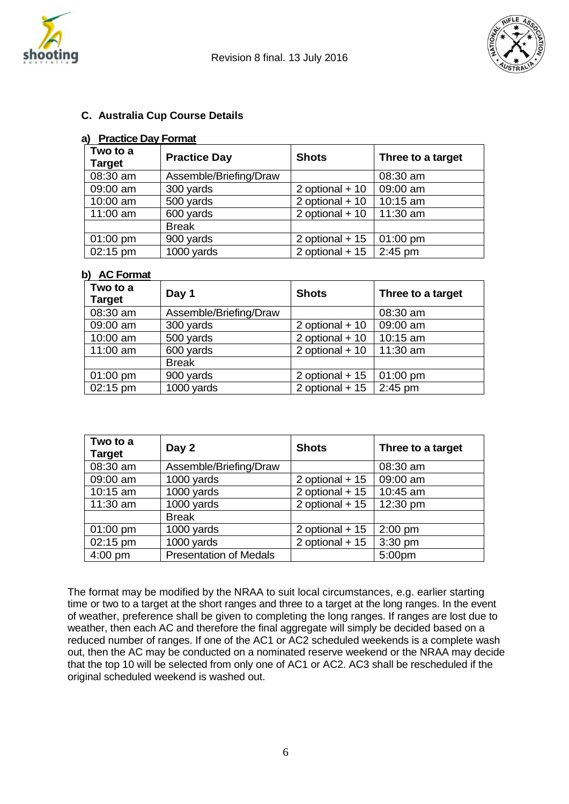



#### **C. Australia Cup Course Details**

#### **a) Practice Day Format**

| Two to a<br><b>Target</b> | <b>Practice Day</b>    | <b>Shots</b>     | Three to a target  |
|---------------------------|------------------------|------------------|--------------------|
| 08:30 am                  | Assemble/Briefing/Draw |                  | 08:30 am           |
| 09:00 am                  | 300 yards              | 2 optional $+10$ | 09:00 am           |
| 10:00 am                  | 500 yards              | 2 optional $+10$ | 10:15 am           |
| $11:00$ am                | 600 yards              | 2 optional $+10$ | 11:30 am           |
|                           | <b>Break</b>           |                  |                    |
| $01:00$ pm                | 900 yards              | 2 optional $+15$ | $01:00 \text{ pm}$ |
| 02:15 pm                  | 1000 yards             | 2 optional $+15$ | $2:45$ pm          |

#### **b) AC Format**

| Two to a<br><b>Target</b> | Day 1                  | <b>Shots</b>               | Three to a target |
|---------------------------|------------------------|----------------------------|-------------------|
| 08:30 am                  | Assemble/Briefing/Draw |                            | 08:30 am          |
| 09:00 am                  | 300 yards              | 2 optional $+10$           | 09:00 am          |
| 10:00 am                  | 500 yards              | 2 optional $+10$           | 10:15 am          |
| 11:00 am                  | 600 yards              | 2 optional + 10   11:30 am |                   |
|                           | <b>Break</b>           |                            |                   |
| $01:00$ pm                | 900 yards              | 2 optional + 15   01:00 pm |                   |
| 02:15 pm                  | 1000 yards             | 2 optional + 15            | $2:45$ pm         |

| Two to a<br><b>Target</b> | Day 2                         | <b>Shots</b>     | Three to a target |
|---------------------------|-------------------------------|------------------|-------------------|
| 08:30 am                  | Assemble/Briefing/Draw        |                  | 08:30 am          |
| 09:00 am                  | 1000 yards                    | 2 optional $+15$ | 09:00 am          |
| $10:15$ am                | 1000 yards                    | 2 optional $+15$ | 10:45 am          |
| 11:30 am                  | 1000 yards                    | 2 optional $+15$ | 12:30 pm          |
|                           | <b>Break</b>                  |                  |                   |
| 01:00 pm                  | 1000 yards                    | 2 optional $+15$ | $2:00$ pm         |
| 02:15 pm                  | 1000 yards                    | 2 optional $+15$ | 3:30 pm           |
| $4:00$ pm                 | <b>Presentation of Medals</b> |                  | 5:00pm            |

The format may be modified by the NRAA to suit local circumstances, e.g. earlier starting time or two to a target at the short ranges and three to a target at the long ranges. In the event of weather, preference shall be given to completing the long ranges. If ranges are lost due to weather, then each AC and therefore the final aggregate will simply be decided based on a reduced number of ranges. If one of the AC1 or AC2 scheduled weekends is a complete wash out, then the AC may be conducted on a nominated reserve weekend or the NRAA may decide that the top 10 will be selected from only one of AC1 or AC2. AC3 shall be rescheduled if the original scheduled weekend is washed out.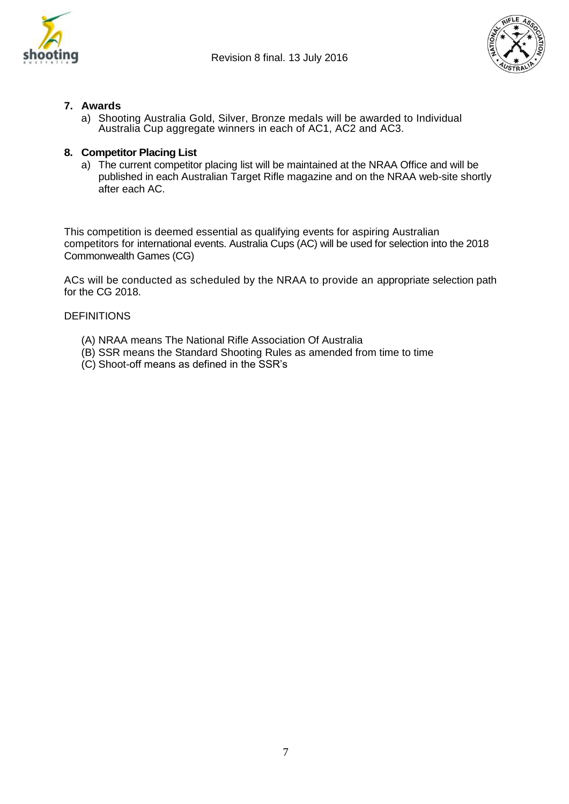



#### **7. Awards**

a) Shooting Australia Gold, Silver, Bronze medals will be awarded to Individual Australia Cup aggregate winners in each of AC1, AC2 and AC3.

#### **8. Competitor Placing List**

a) The current competitor placing list will be maintained at the NRAA Office and will be published in each Australian Target Rifle magazine and on the NRAA web-site shortly after each AC.

This competition is deemed essential as qualifying events for aspiring Australian competitors for international events. Australia Cups (AC) will be used for selection into the 2018 Commonwealth Games (CG)

ACs will be conducted as scheduled by the NRAA to provide an appropriate selection path for the CG 2018.

#### DEFINITIONS

- (A) NRAA means The National Rifle Association Of Australia
- (B) SSR means the Standard Shooting Rules as amended from time to time
- (C) Shoot-off means as defined in the SSR's